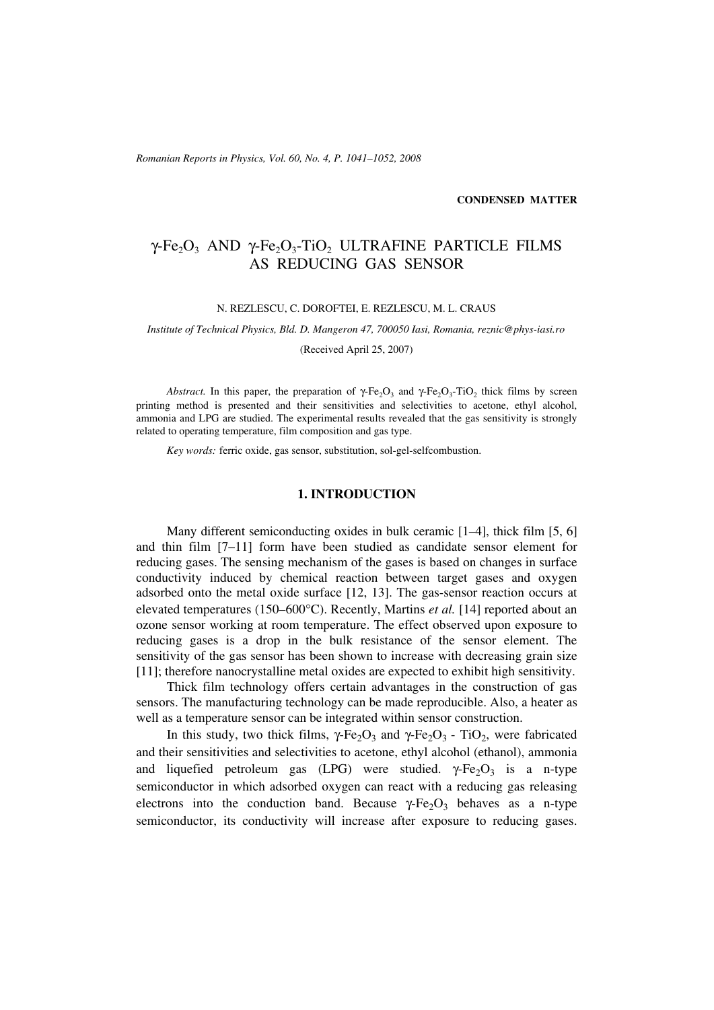*Romanian Reports in Physics, Vol. 60, No. 4, P. 1041–1052, 2008*

**CONDENSED MATTER**

# $\gamma$ -Fe<sub>2</sub>O<sub>3</sub> AND  $\gamma$ -Fe<sub>2</sub>O<sub>3</sub>-TiO<sub>2</sub> ULTRAFINE PARTICLE FILMS AS REDUCING GAS SENSOR

### N. REZLESCU, C. DOROFTEI, E. REZLESCU, M. L. CRAUS

*Institute of Technical Physics, Bld. D. Mangeron 47, 700050 Iasi, Romania, reznic@phys-iasi.ro*

(Received April 25, 2007)

*Abstract.* In this paper, the preparation of  $\gamma$ -Fe<sub>2</sub>O<sub>3</sub> and  $\gamma$ -Fe<sub>2</sub>O<sub>3</sub>-TiO<sub>2</sub> thick films by screen printing method is presented and their sensitivities and selectivities to acetone, ethyl alcohol, ammonia and LPG are studied. The experimental results revealed that the gas sensitivity is strongly related to operating temperature, film composition and gas type.

*Key words:* ferric oxide, gas sensor, substitution, sol-gel-selfcombustion.

## **1. INTRODUCTION**

Many different semiconducting oxides in bulk ceramic [1–4], thick film [5, 6] and thin film [7–11] form have been studied as candidate sensor element for reducing gases. The sensing mechanism of the gases is based on changes in surface conductivity induced by chemical reaction between target gases and oxygen adsorbed onto the metal oxide surface [12, 13]. The gas-sensor reaction occurs at elevated temperatures (150–600°C). Recently, Martins *et al.* [14] reported about an ozone sensor working at room temperature. The effect observed upon exposure to reducing gases is a drop in the bulk resistance of the sensor element. The sensitivity of the gas sensor has been shown to increase with decreasing grain size [11]; therefore nanocrystalline metal oxides are expected to exhibit high sensitivity.

Thick film technology offers certain advantages in the construction of gas sensors. The manufacturing technology can be made reproducible. Also, a heater as well as a temperature sensor can be integrated within sensor construction.

In this study, two thick films,  $\gamma$ -Fe<sub>2</sub>O<sub>3</sub> and  $\gamma$ -Fe<sub>2</sub>O<sub>3</sub> - TiO<sub>2</sub>, were fabricated and their sensitivities and selectivities to acetone, ethyl alcohol (ethanol), ammonia and liquefied petroleum gas (LPG) were studied.  $\gamma$ -Fe<sub>2</sub>O<sub>3</sub> is a n-type semiconductor in which adsorbed oxygen can react with a reducing gas releasing electrons into the conduction band. Because  $\gamma$ -Fe<sub>2</sub>O<sub>3</sub> behaves as a n-type semiconductor, its conductivity will increase after exposure to reducing gases.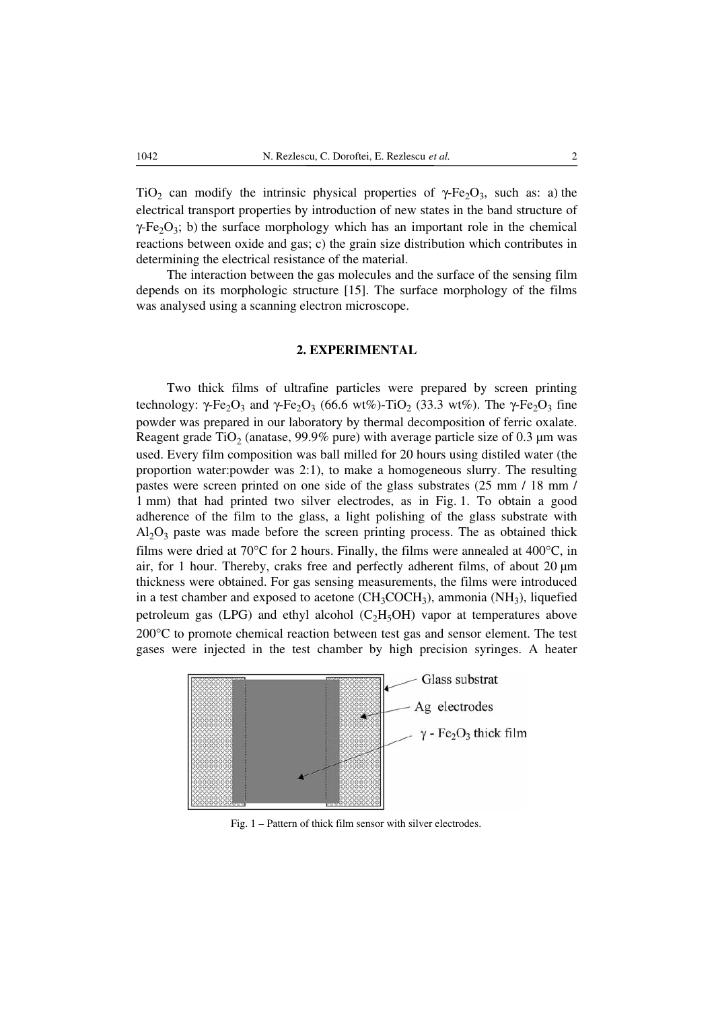TiO<sub>2</sub> can modify the intrinsic physical properties of  $\gamma$ -Fe<sub>2</sub>O<sub>3</sub>, such as: a) the electrical transport properties by introduction of new states in the band structure of  $\gamma$ -Fe<sub>2</sub>O<sub>3</sub>; b) the surface morphology which has an important role in the chemical reactions between oxide and gas; c) the grain size distribution which contributes in determining the electrical resistance of the material.

The interaction between the gas molecules and the surface of the sensing film depends on its morphologic structure [15]. The surface morphology of the films was analysed using a scanning electron microscope.

## **2. EXPERIMENTAL**

Two thick films of ultrafine particles were prepared by screen printing technology: γ-Fe<sub>2</sub>O<sub>3</sub> and γ-Fe<sub>2</sub>O<sub>3</sub> (66.6 wt%)-TiO<sub>2</sub> (33.3 wt%). The γ-Fe<sub>2</sub>O<sub>3</sub> fine powder was prepared in our laboratory by thermal decomposition of ferric oxalate. Reagent grade TiO<sub>2</sub> (anatase, 99.9% pure) with average particle size of 0.3  $\mu$ m was used. Every film composition was ball milled for 20 hours using distiled water (the proportion water:powder was 2:1), to make a homogeneous slurry. The resulting pastes were screen printed on one side of the glass substrates (25 mm / 18 mm / 1 mm) that had printed two silver electrodes, as in Fig. 1. To obtain a good adherence of the film to the glass, a light polishing of the glass substrate with  $Al_2O_3$  paste was made before the screen printing process. The as obtained thick films were dried at 70°C for 2 hours. Finally, the films were annealed at 400°C, in air, for 1 hour. Thereby, craks free and perfectly adherent films, of about  $20 \mu m$ thickness were obtained. For gas sensing measurements, the films were introduced in a test chamber and exposed to acetone  $(CH_3COCH_3)$ , ammonia  $(NH_3)$ , liquefied petroleum gas (LPG) and ethyl alcohol  $(C<sub>2</sub>H<sub>5</sub>OH)$  vapor at temperatures above 200°C to promote chemical reaction between test gas and sensor element. The test gases were injected in the test chamber by high precision syringes. A heater



Fig. 1 – Pattern of thick film sensor with silver electrodes.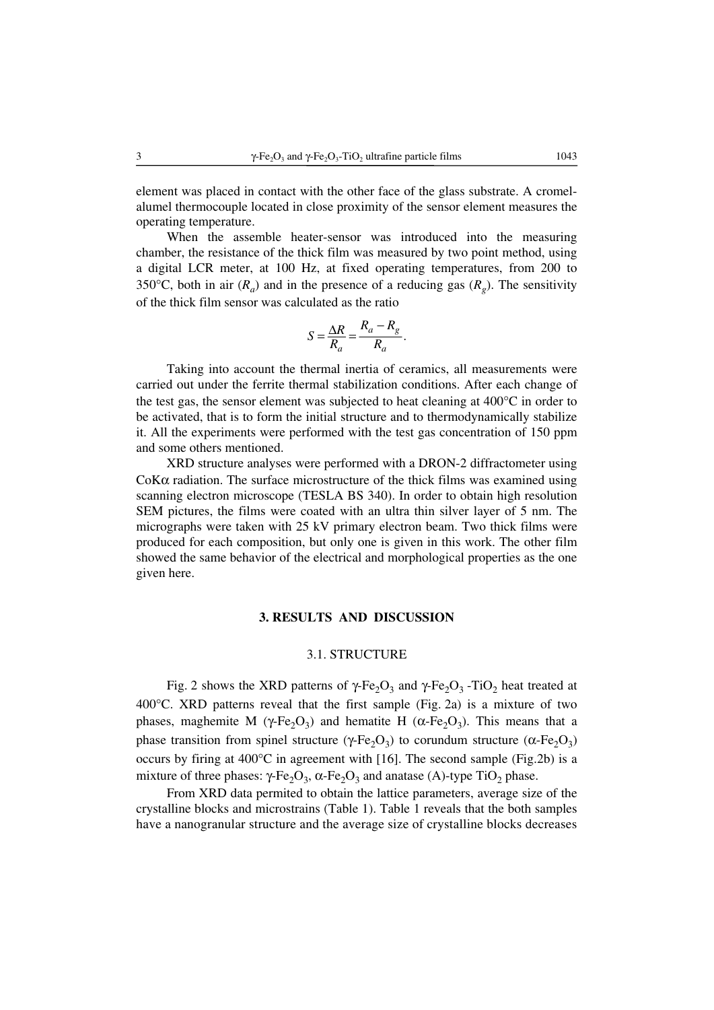element was placed in contact with the other face of the glass substrate. A cromelalumel thermocouple located in close proximity of the sensor element measures the operating temperature.

When the assemble heater-sensor was introduced into the measuring chamber, the resistance of the thick film was measured by two point method, using a digital LCR meter, at 100 Hz, at fixed operating temperatures, from 200 to 350°C, both in air  $(R_a)$  and in the presence of a reducing gas  $(R_a)$ . The sensitivity of the thick film sensor was calculated as the ratio

$$
S = \frac{\Delta R}{R_a} = \frac{R_a - R_g}{R_a}.
$$

Taking into account the thermal inertia of ceramics, all measurements were carried out under the ferrite thermal stabilization conditions. After each change of the test gas, the sensor element was subjected to heat cleaning at 400°C in order to be activated, that is to form the initial structure and to thermodynamically stabilize it. All the experiments were performed with the test gas concentration of 150 ppm and some others mentioned.

XRD structure analyses were performed with a DRON-2 diffractometer using Co $K\alpha$  radiation. The surface microstructure of the thick films was examined using scanning electron microscope (TESLA BS 340). In order to obtain high resolution SEM pictures, the films were coated with an ultra thin silver layer of 5 nm. The micrographs were taken with 25 kV primary electron beam. Two thick films were produced for each composition, but only one is given in this work. The other film showed the same behavior of the electrical and morphological properties as the one given here.

## **3. RESULTS AND DISCUSSION**

## 3.1. STRUCTURE

Fig. 2 shows the XRD patterns of  $\gamma$ -Fe<sub>2</sub>O<sub>3</sub> and  $\gamma$ -Fe<sub>2</sub>O<sub>3</sub> -TiO<sub>2</sub> heat treated at 400°C. XRD patterns reveal that the first sample (Fig. 2a) is a mixture of two phases, maghemite M (γ-Fe<sub>2</sub>O<sub>3</sub>) and hematite H (α-Fe<sub>2</sub>O<sub>3</sub>). This means that a phase transition from spinel structure (γ-Fe<sub>2</sub>O<sub>3</sub>) to corundum structure (α-Fe<sub>2</sub>O<sub>3</sub>) occurs by firing at 400°C in agreement with [16]. The second sample (Fig.2b) is a mixture of three phases: γ-Fe<sub>2</sub>O<sub>3</sub>, α-Fe<sub>2</sub>O<sub>3</sub> and anatase (A)-type TiO<sub>2</sub> phase.

From XRD data permited to obtain the lattice parameters, average size of the crystalline blocks and microstrains (Table 1). Table 1 reveals that the both samples have a nanogranular structure and the average size of crystalline blocks decreases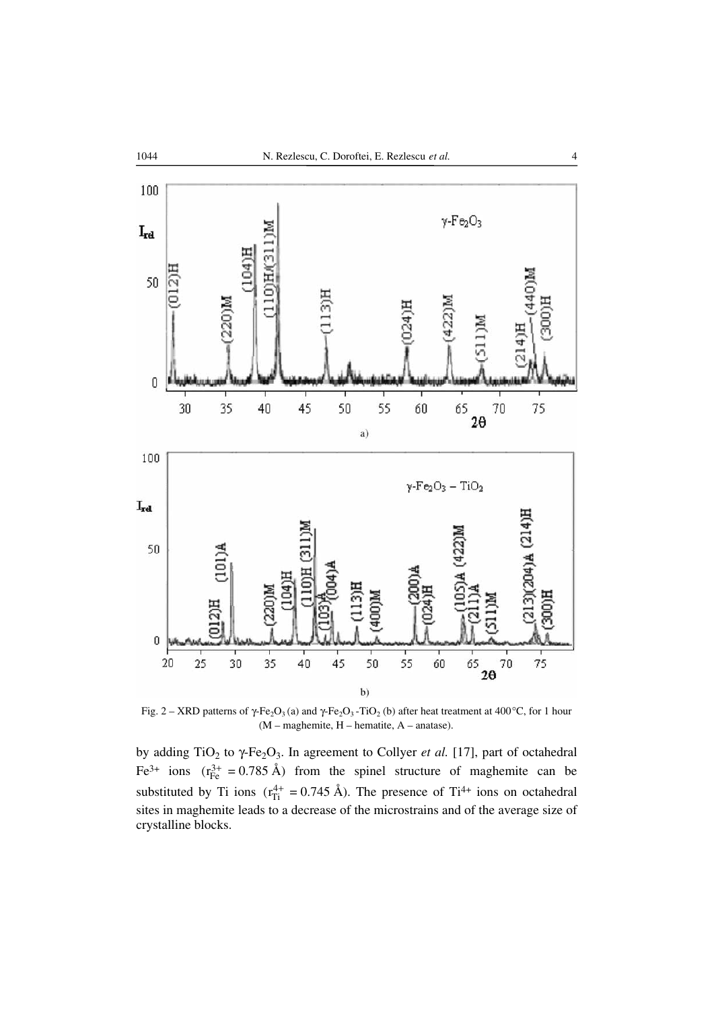

Fig. 2 – XRD patterns of  $\gamma$ -Fe<sub>2</sub>O<sub>3</sub> (a) and  $\gamma$ -Fe<sub>2</sub>O<sub>3</sub> -TiO<sub>2</sub> (b) after heat treatment at 400°C, for 1 hour (M – maghemite, H – hematite, A – anatase).

by adding TiO<sub>2</sub> to  $\gamma$ -Fe<sub>2</sub>O<sub>3</sub>. In agreement to Collyer *et al.* [17], part of octahedral Fe<sup>3+</sup> ions  $(r_{Fe}^{3+} = 0.785 \text{ Å})$  from the spinel structure of maghemite can be substituted by Ti ions  $(r_{Ti}^{4+} = 0.745 \text{ Å})$ . The presence of Ti<sup>4+</sup> ions on octahedral sites in maghemite leads to a decrease of the microstrains and of the average size of crystalline blocks.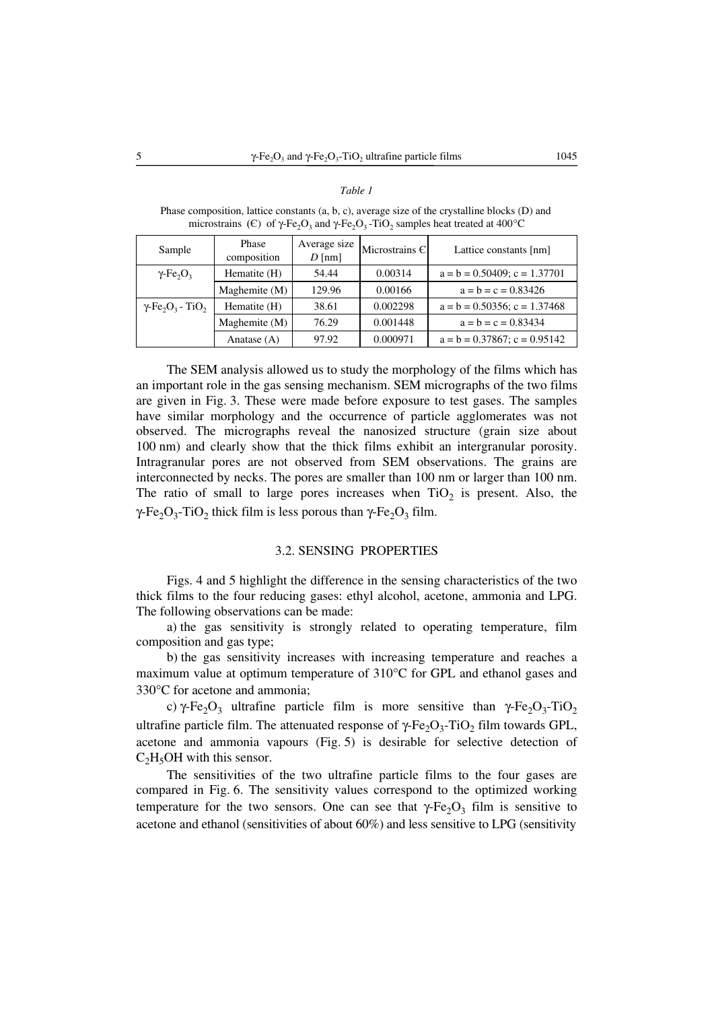#### *Table 1*

Phase composition, lattice constants (a, b, c), average size of the crystalline blocks (D) and microstrains (€) of  $\gamma$ -Fe<sub>2</sub>O<sub>3</sub> and  $\gamma$ -Fe<sub>2</sub>O<sub>3</sub> -TiO<sub>2</sub> samples heat treated at 400°C

| Sample                                                      | Phase<br>composition | Average size<br>$D$ [nm] | Microstrains C | Lattice constants [nm]            |
|-------------------------------------------------------------|----------------------|--------------------------|----------------|-----------------------------------|
| $\gamma$ -Fe <sub>2</sub> O <sub>2</sub>                    | Hematite (H)         | 54.44                    | 0.00314        | $a = b = 0.50409$ ; $c = 1.37701$ |
|                                                             | Maghemite (M)        | 129.96                   | 0.00166        | $a = b = c = 0.83426$             |
| $\gamma$ -Fe <sub>2</sub> O <sub>3</sub> - TiO <sub>2</sub> | Hematite (H)         | 38.61                    | 0.002298       | $a = b = 0.50356$ ; c = 1.37468   |
|                                                             | Maghemite (M)        | 76.29                    | 0.001448       | $a = b = c = 0.83434$             |
|                                                             | Anatase $(A)$        | 97.92                    | 0.000971       | $a = b = 0.37867$ ; $c = 0.95142$ |

The SEM analysis allowed us to study the morphology of the films which has an important role in the gas sensing mechanism. SEM micrographs of the two films are given in Fig. 3. These were made before exposure to test gases. The samples have similar morphology and the occurrence of particle agglomerates was not observed. The micrographs reveal the nanosized structure (grain size about 100 nm) and clearly show that the thick films exhibit an intergranular porosity. Intragranular pores are not observed from SEM observations. The grains are interconnected by necks. The pores are smaller than 100 nm or larger than 100 nm. The ratio of small to large pores increases when  $TiO<sub>2</sub>$  is present. Also, the γ-Fe<sub>2</sub>O<sub>3</sub>-TiO<sub>2</sub> thick film is less porous than γ-Fe<sub>2</sub>O<sub>3</sub> film.

## 3.2. SENSING PROPERTIES

Figs. 4 and 5 highlight the difference in the sensing characteristics of the two thick films to the four reducing gases: ethyl alcohol, acetone, ammonia and LPG. The following observations can be made:

a) the gas sensitivity is strongly related to operating temperature, film composition and gas type;

b) the gas sensitivity increases with increasing temperature and reaches a maximum value at optimum temperature of 310°C for GPL and ethanol gases and 330°C for acetone and ammonia;

c) γ-Fe<sub>2</sub>O<sub>3</sub> ultrafine particle film is more sensitive than γ-Fe<sub>2</sub>O<sub>3</sub>-TiO<sub>2</sub> ultrafine particle film. The attenuated response of  $\gamma$ -Fe<sub>2</sub>O<sub>3</sub>-TiO<sub>2</sub> film towards GPL, acetone and ammonia vapours (Fig. 5) is desirable for selective detection of  $C_2H_5OH$  with this sensor.

The sensitivities of the two ultrafine particle films to the four gases are compared in Fig. 6. The sensitivity values correspond to the optimized working temperature for the two sensors. One can see that  $\gamma$ -Fe<sub>2</sub>O<sub>3</sub> film is sensitive to acetone and ethanol (sensitivities of about 60%) and less sensitive to LPG (sensitivity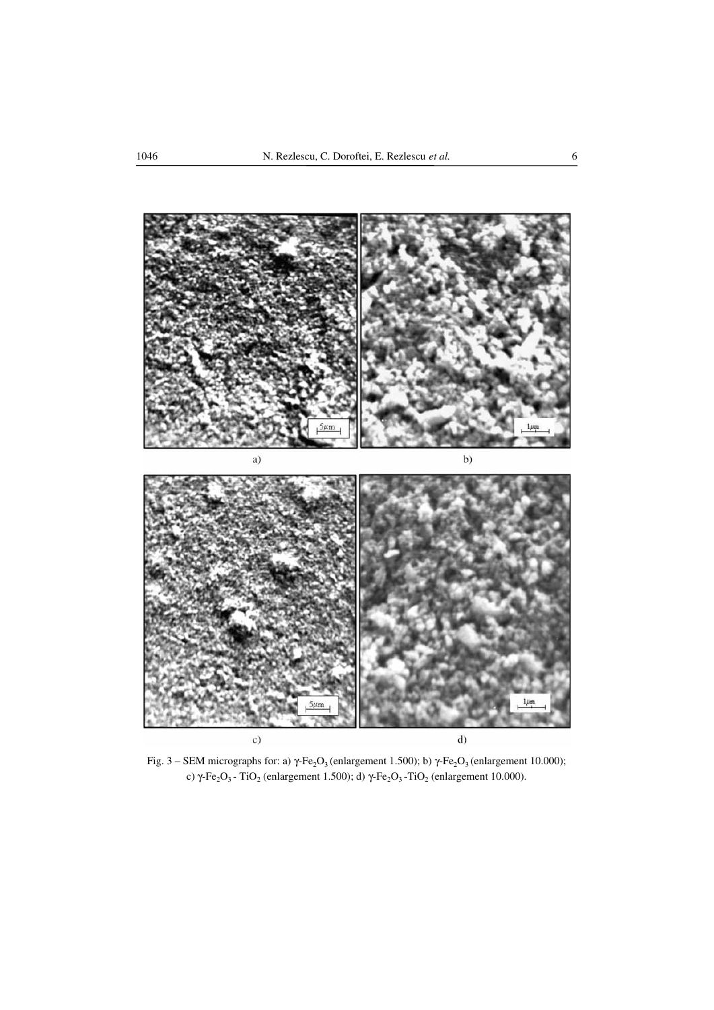

Fig. 3 – SEM micrographs for: a) γ-Fe<sub>2</sub>O<sub>3</sub> (enlargement 1.500); b) γ-Fe<sub>2</sub>O<sub>3</sub> (enlargement 10.000); c) γ-Fe<sub>2</sub>O<sub>3</sub> - TiO<sub>2</sub> (enlargement 1.500); d) γ-Fe<sub>2</sub>O<sub>3</sub> - TiO<sub>2</sub> (enlargement 10.000).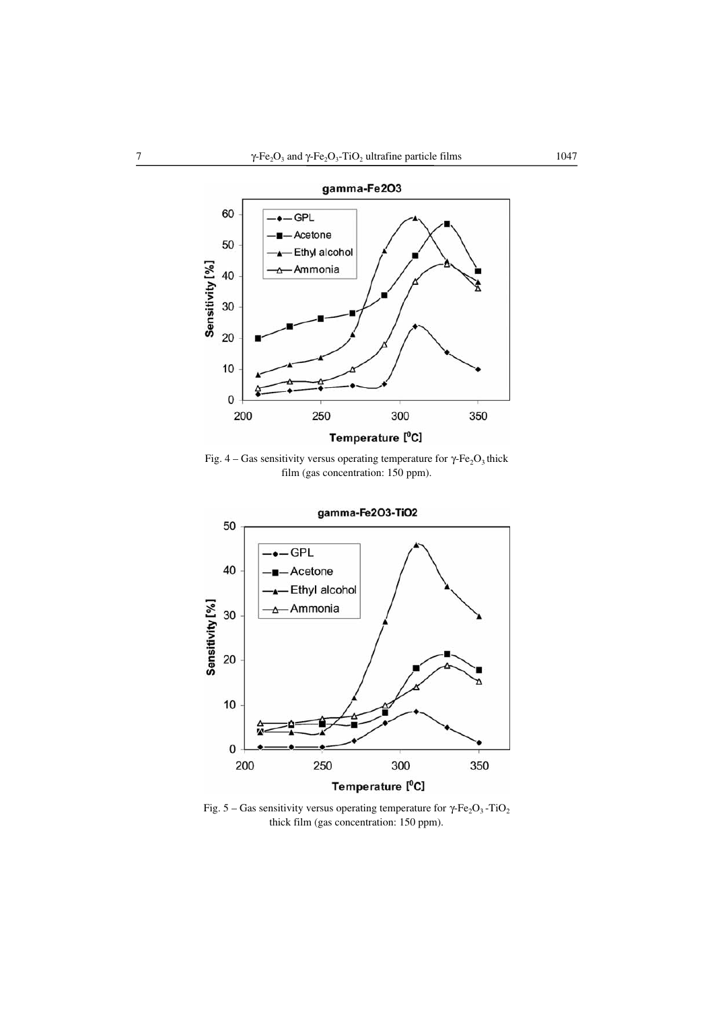

Fig. 4 – Gas sensitivity versus operating temperature for  $\gamma$ -Fe<sub>2</sub>O<sub>3</sub> thick film (gas concentration: 150 ppm).



Fig. 5 – Gas sensitivity versus operating temperature for γ-Fe<sub>2</sub>O<sub>3</sub> -TiO<sub>2</sub> thick film (gas concentration: 150 ppm).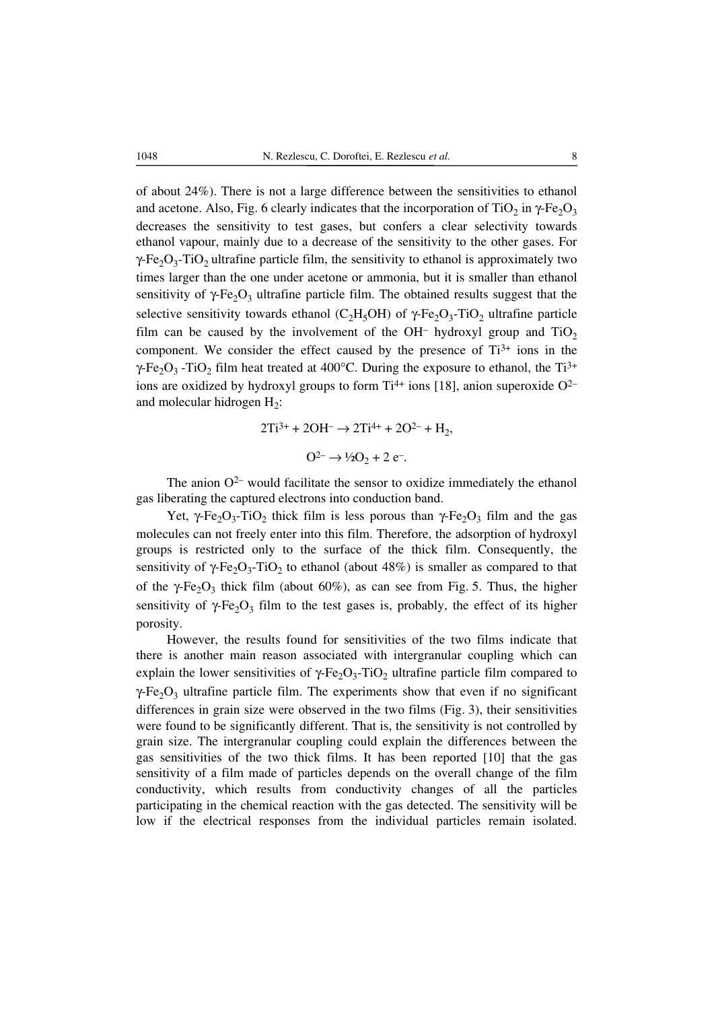of about 24%). There is not a large difference between the sensitivities to ethanol and acetone. Also, Fig. 6 clearly indicates that the incorporation of TiO<sub>2</sub> in  $\gamma$ -Fe<sub>2</sub>O<sub>3</sub> decreases the sensitivity to test gases, but confers a clear selectivity towards ethanol vapour, mainly due to a decrease of the sensitivity to the other gases. For  $\gamma$ -Fe<sub>2</sub>O<sub>3</sub>-TiO<sub>2</sub> ultrafine particle film, the sensitivity to ethanol is approximately two times larger than the one under acetone or ammonia, but it is smaller than ethanol sensitivity of  $\gamma$ -Fe<sub>2</sub>O<sub>3</sub> ultrafine particle film. The obtained results suggest that the selective sensitivity towards ethanol (C<sub>2</sub>H<sub>5</sub>OH) of γ-Fe<sub>2</sub>O<sub>3</sub>-TiO<sub>2</sub> ultrafine particle film can be caused by the involvement of the OH<sup>-</sup> hydroxyl group and  $TiO<sub>2</sub>$ component. We consider the effect caused by the presence of  $Ti^{3+}$  ions in the  $\gamma$ -Fe<sub>2</sub>O<sub>3</sub> -TiO<sub>2</sub> film heat treated at 400°C. During the exposure to ethanol, the Ti<sup>3+</sup> ions are oxidized by hydroxyl groups to form  $Ti^{4+}$  ions [18], anion superoxide  $O^{2-}$ and molecular hidrogen  $H_2$ :

$$
2Ti^{3+} + 2OH^{-} \rightarrow 2Ti^{4+} + 2O^{2-} + H_{2},
$$
  

$$
O^{2-} \rightarrow \frac{1}{2}O_{2} + 2e^{-}.
$$

The anion  $O^{2-}$  would facilitate the sensor to oxidize immediately the ethanol gas liberating the captured electrons into conduction band.

Yet, γ-Fe<sub>2</sub>O<sub>3</sub>-TiO<sub>2</sub> thick film is less porous than γ-Fe<sub>2</sub>O<sub>3</sub> film and the gas molecules can not freely enter into this film. Therefore, the adsorption of hydroxyl groups is restricted only to the surface of the thick film. Consequently, the sensitivity of  $\gamma$ -Fe<sub>2</sub>O<sub>3</sub>-TiO<sub>2</sub> to ethanol (about 48%) is smaller as compared to that of the γ-Fe<sub>2</sub>O<sub>3</sub> thick film (about 60%), as can see from Fig. 5. Thus, the higher sensitivity of  $\gamma$ -Fe<sub>2</sub>O<sub>3</sub> film to the test gases is, probably, the effect of its higher porosity.

However, the results found for sensitivities of the two films indicate that there is another main reason associated with intergranular coupling which can explain the lower sensitivities of  $\gamma$ -Fe<sub>2</sub>O<sub>3</sub>-TiO<sub>2</sub> ultrafine particle film compared to  $\gamma$ -Fe<sub>2</sub>O<sub>3</sub> ultrafine particle film. The experiments show that even if no significant differences in grain size were observed in the two films (Fig. 3), their sensitivities were found to be significantly different. That is, the sensitivity is not controlled by grain size. The intergranular coupling could explain the differences between the gas sensitivities of the two thick films. It has been reported [10] that the gas sensitivity of a film made of particles depends on the overall change of the film conductivity, which results from conductivity changes of all the particles participating in the chemical reaction with the gas detected. The sensitivity will be low if the electrical responses from the individual particles remain isolated.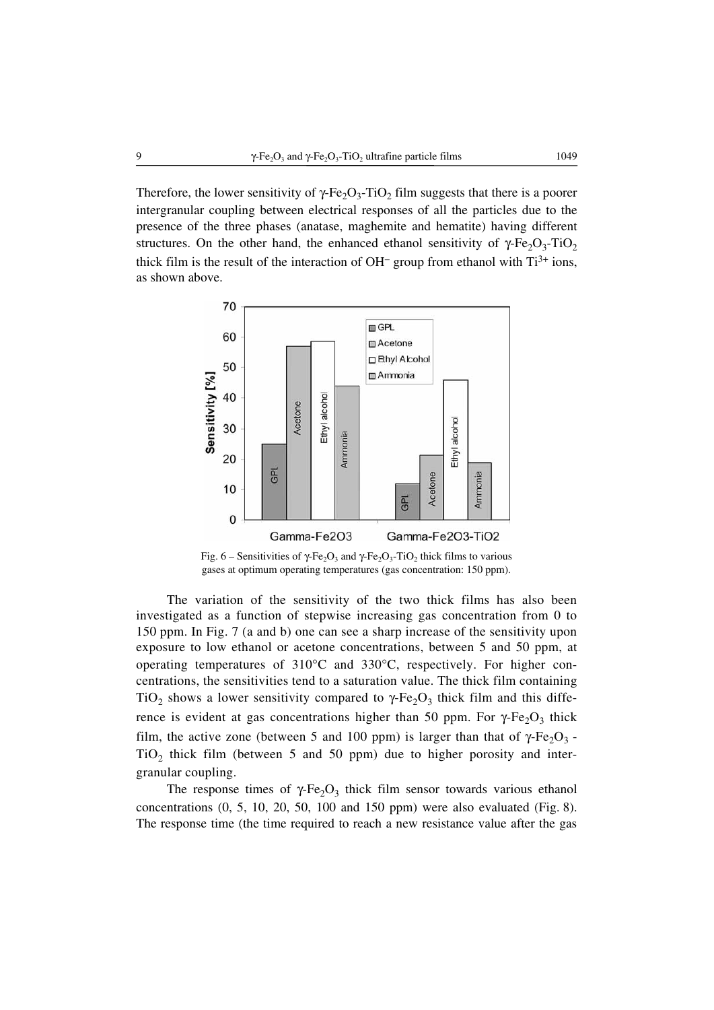Therefore, the lower sensitivity of  $\gamma$ -Fe<sub>2</sub>O<sub>3</sub>-TiO<sub>2</sub> film suggests that there is a poorer intergranular coupling between electrical responses of all the particles due to the presence of the three phases (anatase, maghemite and hematite) having different structures. On the other hand, the enhanced ethanol sensitivity of  $\gamma$ -Fe<sub>2</sub>O<sub>3</sub>-TiO<sub>2</sub> thick film is the result of the interaction of OH<sup>-</sup> group from ethanol with  $Ti^{3+}$  ions, as shown above.



Fig. 6 – Sensitivities of γ-Fe<sub>2</sub>O<sub>3</sub> and γ-Fe<sub>2</sub>O<sub>3</sub>-TiO<sub>2</sub> thick films to various gases at optimum operating temperatures (gas concentration: 150 ppm).

The variation of the sensitivity of the two thick films has also been investigated as a function of stepwise increasing gas concentration from 0 to 150 ppm. In Fig. 7 (a and b) one can see a sharp increase of the sensitivity upon exposure to low ethanol or acetone concentrations, between 5 and 50 ppm, at operating temperatures of 310°C and 330°C, respectively. For higher concentrations, the sensitivities tend to a saturation value. The thick film containing TiO<sub>2</sub> shows a lower sensitivity compared to  $\gamma$ -Fe<sub>2</sub>O<sub>3</sub> thick film and this difference is evident at gas concentrations higher than 50 ppm. For γ-Fe<sub>2</sub>O<sub>3</sub> thick film, the active zone (between 5 and 100 ppm) is larger than that of  $\gamma$ -Fe<sub>2</sub>O<sub>3</sub> - $TiO<sub>2</sub>$  thick film (between 5 and 50 ppm) due to higher porosity and intergranular coupling.

The response times of  $\gamma$ -Fe<sub>2</sub>O<sub>3</sub> thick film sensor towards various ethanol concentrations  $(0, 5, 10, 20, 50, 100, 100, 150,$  ppm) were also evaluated (Fig. 8). The response time (the time required to reach a new resistance value after the gas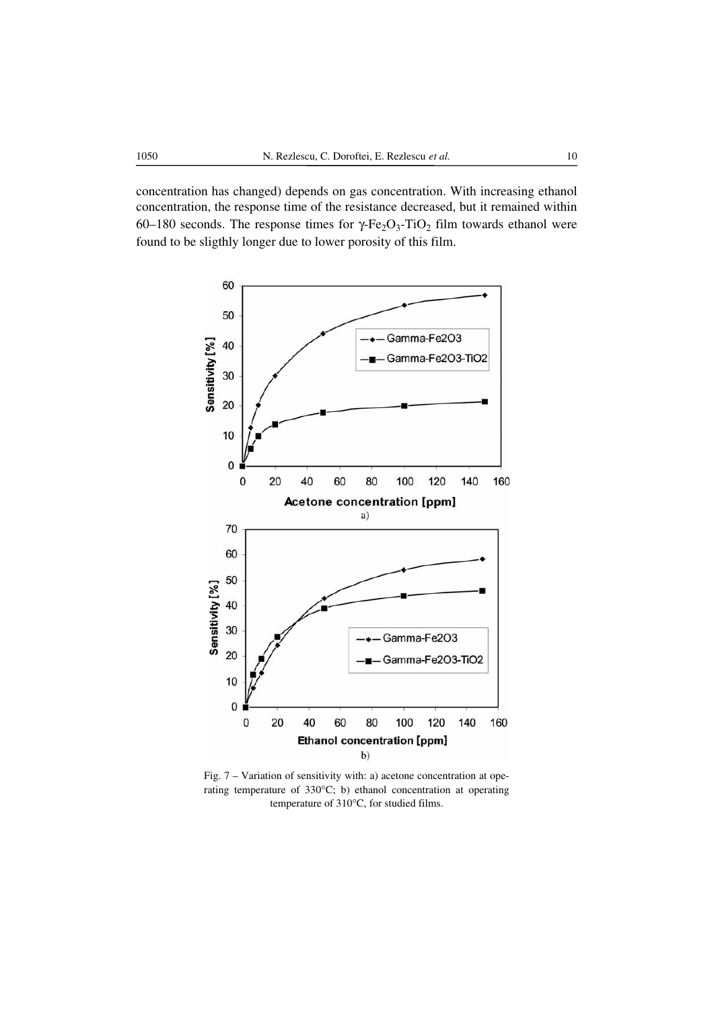concentration has changed) depends on gas concentration. With increasing ethanol concentration, the response time of the resistance decreased, but it remained within 60–180 seconds. The response times for γ-Fe<sub>2</sub>O<sub>3</sub>-TiO<sub>2</sub> film towards ethanol were found to be sligthly longer due to lower porosity of this film.



Fig. 7 – Variation of sensitivity with: a) acetone concentration at operating temperature of 330°C; b) ethanol concentration at operating temperature of 310°C, for studied films.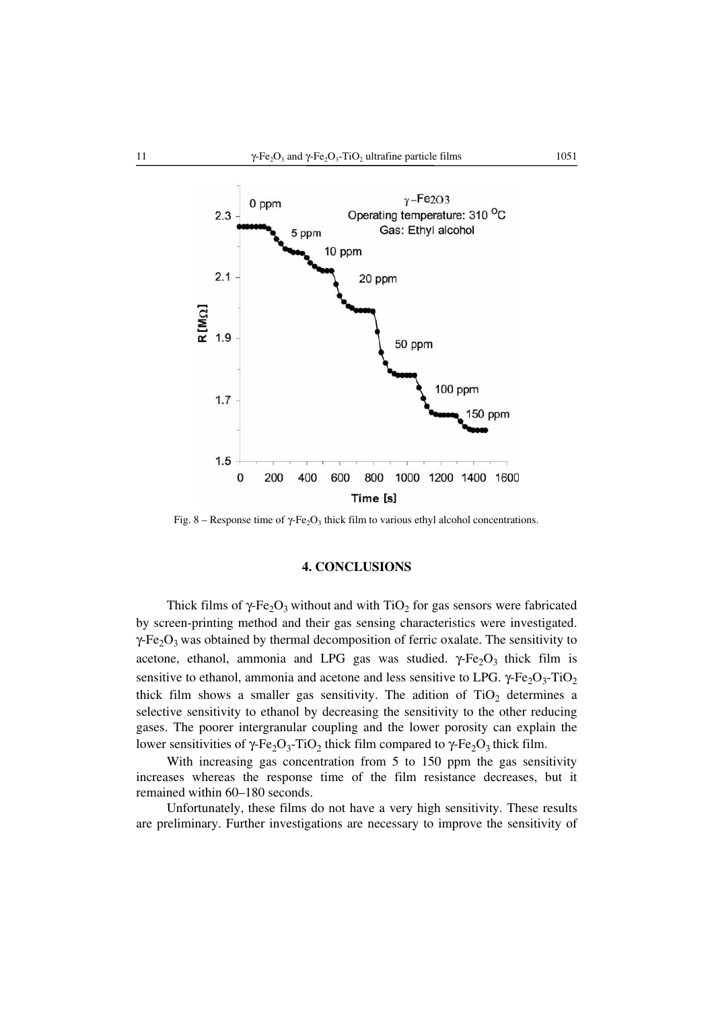

Fig. 8 – Response time of  $\gamma$ -Fe<sub>2</sub>O<sub>3</sub> thick film to various ethyl alcohol concentrations.

## **4. CONCLUSIONS**

Thick films of  $\gamma$ -Fe<sub>2</sub>O<sub>3</sub> without and with TiO<sub>2</sub> for gas sensors were fabricated by screen-printing method and their gas sensing characteristics were investigated.  $\gamma$ -Fe<sub>2</sub>O<sub>3</sub> was obtained by thermal decomposition of ferric oxalate. The sensitivity to acetone, ethanol, ammonia and LPG gas was studied.  $\gamma$ -Fe<sub>2</sub>O<sub>3</sub> thick film is sensitive to ethanol, ammonia and acetone and less sensitive to LPG.  $\gamma$ -Fe<sub>2</sub>O<sub>3</sub>-TiO<sub>2</sub> thick film shows a smaller gas sensitivity. The adition of  $TiO<sub>2</sub>$  determines a selective sensitivity to ethanol by decreasing the sensitivity to the other reducing gases. The poorer intergranular coupling and the lower porosity can explain the lower sensitivities of γ-Fe<sub>2</sub>O<sub>3</sub>-TiO<sub>2</sub> thick film compared to γ-Fe<sub>2</sub>O<sub>3</sub> thick film.

With increasing gas concentration from 5 to 150 ppm the gas sensitivity increases whereas the response time of the film resistance decreases, but it remained within 60–180 seconds.

Unfortunately, these films do not have a very high sensitivity. These results are preliminary. Further investigations are necessary to improve the sensitivity of